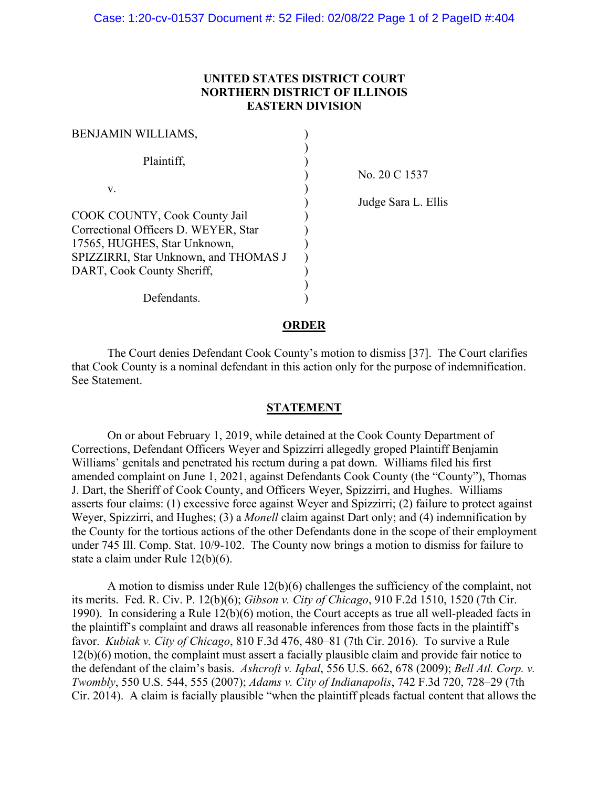## **UNITED STATES DISTRICT COURT NORTHERN DISTRICT OF ILLINOIS EASTERN DIVISION**

| <b>BENJAMIN WILLIAMS,</b>                                                                                                                                                    |  |
|------------------------------------------------------------------------------------------------------------------------------------------------------------------------------|--|
| Plaintiff,                                                                                                                                                                   |  |
| V.                                                                                                                                                                           |  |
| COOK COUNTY, Cook County Jail<br>Correctional Officers D. WEYER, Star<br>17565, HUGHES, Star Unknown,<br>SPIZZIRRI, Star Unknown, and THOMAS J<br>DART, Cook County Sheriff, |  |
| Defendants.                                                                                                                                                                  |  |

) No. 20 C 1537

) Judge Sara L. Ellis

## **ORDER**

The Court denies Defendant Cook County's motion to dismiss [37]. The Court clarifies that Cook County is a nominal defendant in this action only for the purpose of indemnification. See Statement.

## **STATEMENT**

On or about February 1, 2019, while detained at the Cook County Department of Corrections, Defendant Officers Weyer and Spizzirri allegedly groped Plaintiff Benjamin Williams' genitals and penetrated his rectum during a pat down. Williams filed his first amended complaint on June 1, 2021, against Defendants Cook County (the "County"), Thomas J. Dart, the Sheriff of Cook County, and Officers Weyer, Spizzirri, and Hughes. Williams asserts four claims: (1) excessive force against Weyer and Spizzirri; (2) failure to protect against Weyer, Spizzirri, and Hughes; (3) a *Monell* claim against Dart only; and (4) indemnification by the County for the tortious actions of the other Defendants done in the scope of their employment under 745 Ill. Comp. Stat. 10/9-102. The County now brings a motion to dismiss for failure to state a claim under Rule 12(b)(6).

A motion to dismiss under Rule 12(b)(6) challenges the sufficiency of the complaint, not its merits. Fed. R. Civ. P. 12(b)(6); *Gibson v. City of Chicago*, 910 F.2d 1510, 1520 (7th Cir. 1990). In considering a Rule 12(b)(6) motion, the Court accepts as true all well-pleaded facts in the plaintiff's complaint and draws all reasonable inferences from those facts in the plaintiff's favor. *Kubiak v. City of Chicago*, 810 F.3d 476, 480–81 (7th Cir. 2016). To survive a Rule 12(b)(6) motion, the complaint must assert a facially plausible claim and provide fair notice to the defendant of the claim's basis. *Ashcroft v. Iqbal*, 556 U.S. 662, 678 (2009); *Bell Atl. Corp. v. Twombly*, 550 U.S. 544, 555 (2007); *Adams v. City of Indianapolis*, 742 F.3d 720, 728–29 (7th Cir. 2014). A claim is facially plausible "when the plaintiff pleads factual content that allows the